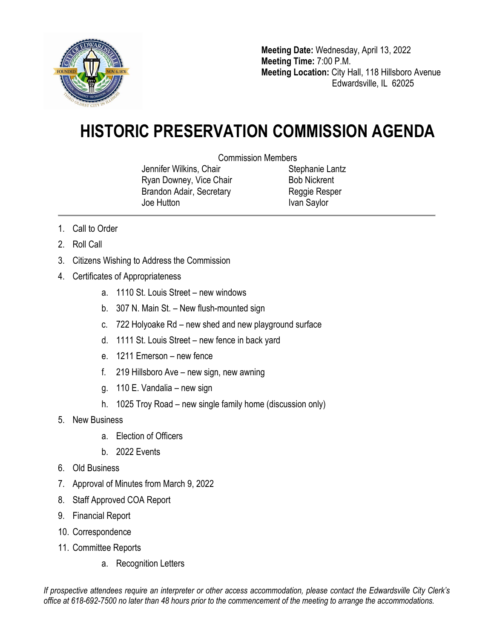

**Meeting Date:** Wednesday, April 13, 2022 **Meeting Time:** 7:00 P.M. **Meeting Location:** City Hall, 118 Hillsboro Avenue Edwardsville, IL 62025

## **HISTORIC PRESERVATION COMMISSION AGENDA**

Commission Members

Jennifer Wilkins, Chair Ryan Downey, Vice Chair Brandon Adair, Secretary Joe Hutton

Stephanie Lantz Bob Nickrent Reggie Resper Ivan Saylor

- 1. Call to Order
- 2. Roll Call
- 3. Citizens Wishing to Address the Commission
- 4. Certificates of Appropriateness
	- a. 1110 St. Louis Street new windows
	- b. 307 N. Main St. New flush-mounted sign
	- c. 722 Holyoake Rd new shed and new playground surface
	- d. 1111 St. Louis Street new fence in back yard
	- e. 1211 Emerson new fence
	- f. 219 Hillsboro Ave new sign, new awning
	- g. 110 E. Vandalia new sign
	- h. 1025 Troy Road new single family home (discussion only)
- 5. New Business
	- a. Election of Officers
	- b. 2022 Events
- 6. Old Business
- 7. Approval of Minutes from March 9, 2022
- 8. Staff Approved COA Report
- 9. Financial Report
- 10. Correspondence
- 11. Committee Reports
	- a. Recognition Letters

*If prospective attendees require an interpreter or other access accommodation, please contact the Edwardsville City Clerk's office at 618-692-7500 no later than 48 hours prior to the commencement of the meeting to arrange the accommodations.*